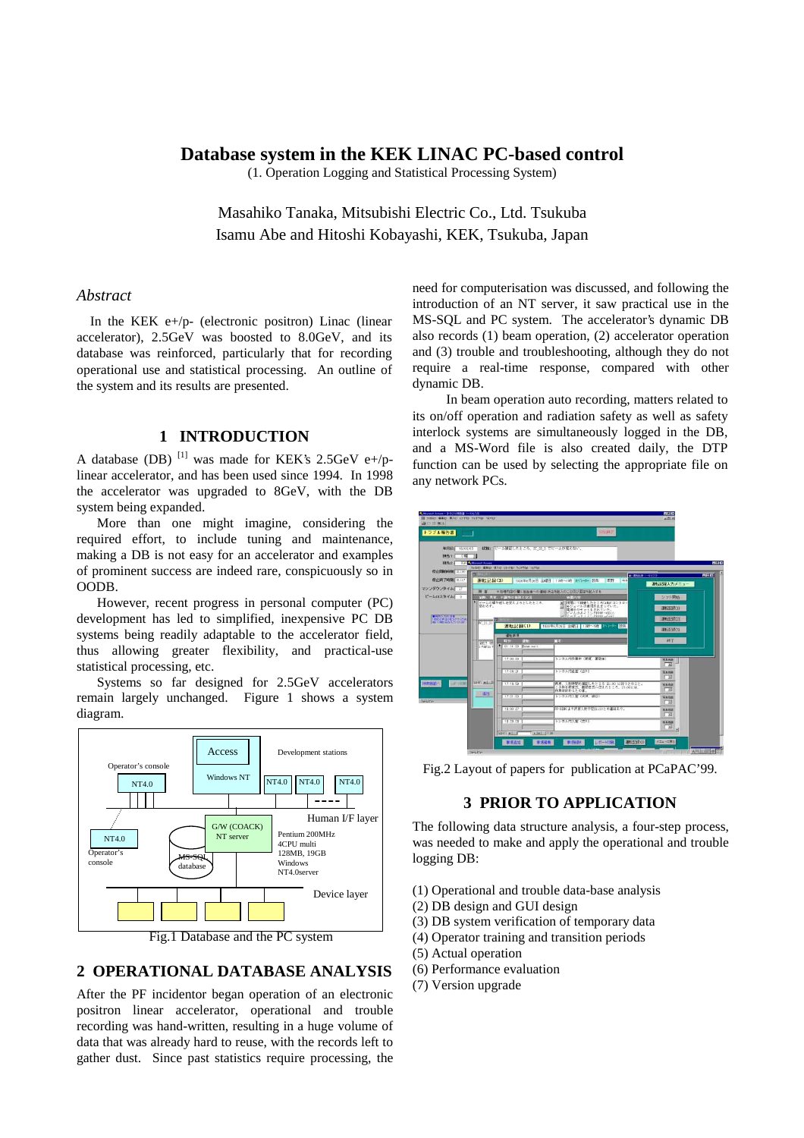# **Database system in the KEK LINAC PC-based control**

(1. Operation Logging and Statistical Processing System)

Masahiko Tanaka, Mitsubishi Electric Co., Ltd. Tsukuba Isamu Abe and Hitoshi Kobayashi, KEK, Tsukuba, Japan

#### *Abstract*

In the KEK  $e+/p-$  (electronic positron) Linac (linear accelerator), 2.5GeV was boosted to 8.0GeV, and its database was reinforced, particularly that for recording operational use and statistical processing. An outline of the system and its results are presented.

### **1 INTRODUCTION**

A database (DB) <sup>[1]</sup> was made for KEK's 2.5GeV e+/plinear accelerator, and has been used since 1994. In 1998 the accelerator was upgraded to 8GeV, with the DB system being expanded.

 More than one might imagine, considering the required effort, to include tuning and maintenance, making a DB is not easy for an accelerator and examples of prominent success are indeed rare, conspicuously so in OODB.

 However, recent progress in personal computer (PC) development has led to simplified, inexpensive PC DB systems being readily adaptable to the accelerator field, thus allowing greater flexibility, and practical-use statistical processing, etc.

 Systems so far designed for 2.5GeV accelerators remain largely unchanged. Figure 1 shows a system diagram.



Fig.1 Database and the PC system

### **2 OPERATIONAL DATABASE ANALYSIS**

After the PF incidentor began operation of an electronic positron linear accelerator, operational and trouble recording was hand-written, resulting in a huge volume of data that was already hard to reuse, with the records left to gather dust. Since past statistics require processing, the

need for computerisation was discussed, and following the introduction of an NT server, it saw practical use in the MS-SQL and PC system. The accelerator's dynamic DB also records (1) beam operation, (2) accelerator operation and (3) trouble and troubleshooting, although they do not require a real-time response, compared with other dynamic DB.

 In beam operation auto recording, matters related to its on/off operation and radiation safety as well as safety interlock systems are simultaneously logged in the DB, and a MS-Word file is also created daily, the DTP function can be used by selecting the appropriate file on any network PCs.



Fig.2 Layout of papers for publication at PCaPAC'99.

### **3 PRIOR TO APPLICATION**

The following data structure analysis, a four-step process, was needed to make and apply the operational and trouble logging DB:

- (1) Operational and trouble data-base analysis
- (2) DB design and GUI design
- (3) DB system verification of temporary data
- (4) Operator training and transition periods
- (5) Actual operation
- (6) Performance evaluation
- (7) Version upgrade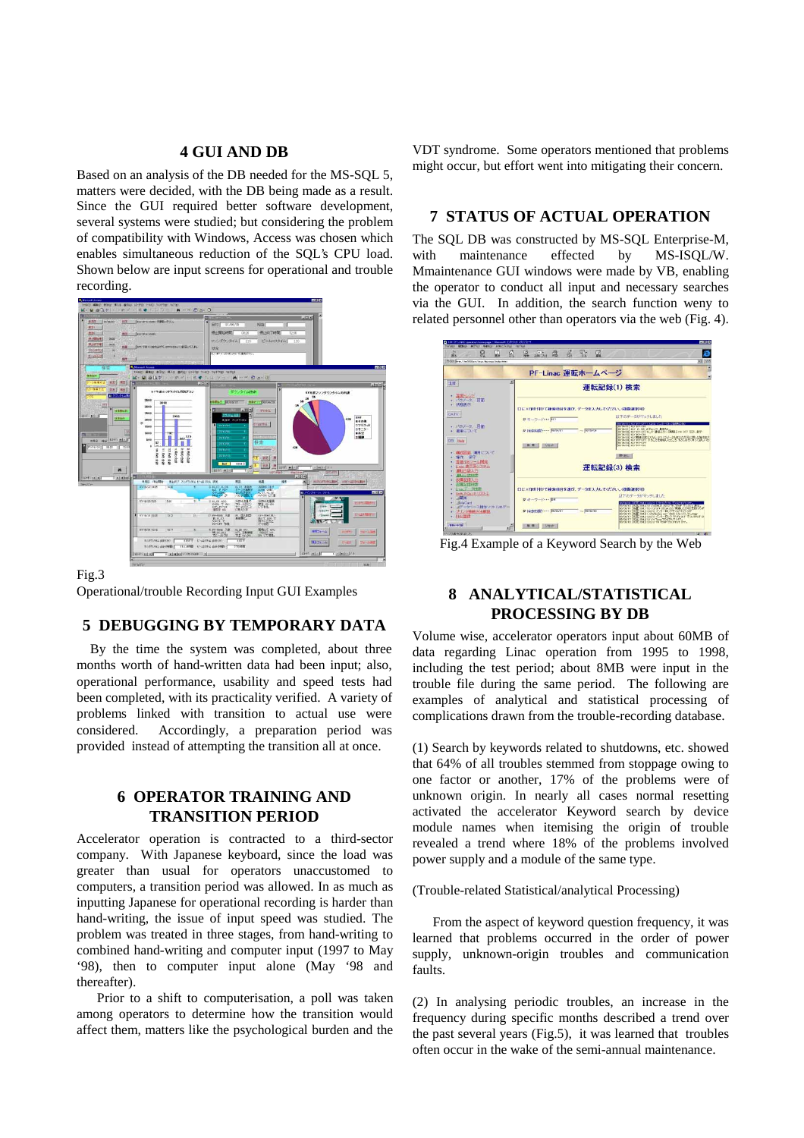#### **4 GUI AND DB**

Based on an analysis of the DB needed for the MS-SQL 5, matters were decided, with the DB being made as a result. Since the GUI required better software development, several systems were studied; but considering the problem of compatibility with Windows, Access was chosen which enables simultaneous reduction of the SQL's CPU load. Shown below are input screens for operational and trouble recording.



Fig.3

Operational/trouble Recording Input GUI Examples

### **5 DEBUGGING BY TEMPORARY DATA**

By the time the system was completed, about three months worth of hand-written data had been input; also, operational performance, usability and speed tests had been completed, with its practicality verified. A variety of problems linked with transition to actual use were considered. Accordingly, a preparation period was provided instead of attempting the transition all at once.

## **6 OPERATOR TRAINING AND TRANSITION PERIOD**

Accelerator operation is contracted to a third-sector company. With Japanese keyboard, since the load was greater than usual for operators unaccustomed to computers, a transition period was allowed. In as much as inputting Japanese for operational recording is harder than hand-writing, the issue of input speed was studied. The problem was treated in three stages, from hand-writing to combined hand-writing and computer input (1997 to May '98), then to computer input alone (May '98 and thereafter).

 Prior to a shift to computerisation, a poll was taken among operators to determine how the transition would affect them, matters like the psychological burden and the VDT syndrome. Some operators mentioned that problems might occur, but effort went into mitigating their concern.

# **7 STATUS OF ACTUAL OPERATION**

The SQL DB was constructed by MS-SQL Enterprise-M, with maintenance effected by MS-ISOL/W. Mmaintenance GUI windows were made by VB, enabling the operator to conduct all input and necessary searches via the GUI. In addition, the search function weny to related personnel other than operators via the web (Fig. 4).



Fig.4 Example of a Keyword Search by the Web

# **8 ANALYTICAL/STATISTICAL PROCESSING BY DB**

Volume wise, accelerator operators input about 60MB of data regarding Linac operation from 1995 to 1998, including the test period; about 8MB were input in the trouble file during the same period. The following are examples of analytical and statistical processing of complications drawn from the trouble-recording database.

(1) Search by keywords related to shutdowns, etc. showed that 64% of all troubles stemmed from stoppage owing to one factor or another, 17% of the problems were of unknown origin. In nearly all cases normal resetting activated the accelerator Keyword search by device module names when itemising the origin of trouble revealed a trend where 18% of the problems involved power supply and a module of the same type.

(Trouble-related Statistical/analytical Processing)

 From the aspect of keyword question frequency, it was learned that problems occurred in the order of power supply, unknown-origin troubles and communication faults.

(2) In analysing periodic troubles, an increase in the frequency during specific months described a trend over the past several years (Fig.5), it was learned that troubles often occur in the wake of the semi-annual maintenance.